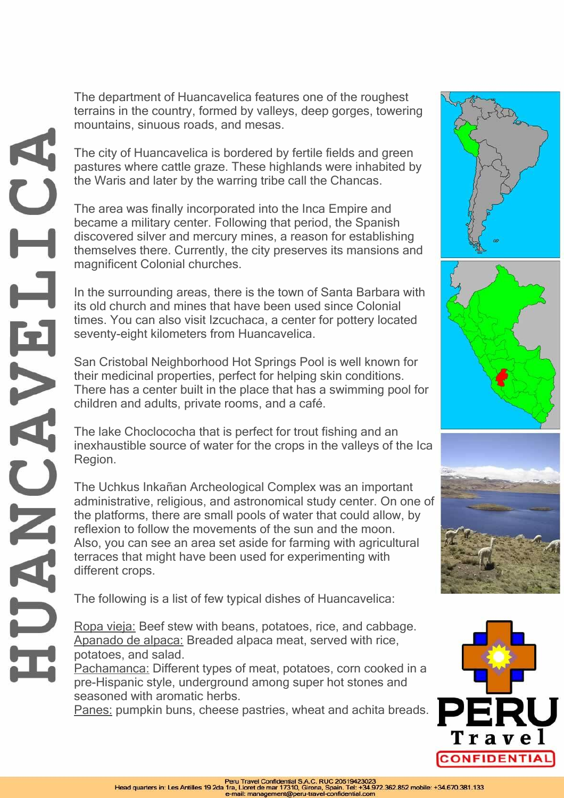The department of Huancavelica features one of the roughest terrains in the country, formed by valleys, deep gorges, towering mountains, sinuous roads, and mesas.

The city of Huancavelica is bordered by fertile fields and green pastures where cattle graze. These highlands were inhabited by the Waris and later by the warring tribe call the Chancas.

The area was finally incorporated into the Inca Empire and became a military center. Following that period, the Spanish discovered silver and mercury mines, a reason for establishing themselves there. Currently, the city preserves its mansions and magnificent Colonial churches.

In the surrounding areas, there is the town of Santa Barbara with its old church and mines that have been used since Colonial times. You can also visit Izcuchaca, a center for pottery located seventy-eight kilometers from Huancavelica.

San Cristobal Neighborhood Hot Springs Pool is well known for their medicinal properties, perfect for helping skin conditions. There has a center built in the place that has a swimming pool for children and adults, private rooms, and a café.

The lake Choclococha that is perfect for trout fishing and an inexhaustible source of water for the crops in the valleys of the Ica Region.

The Uchkus Inkañan Archeological Complex was an important administrative, religious, and astronomical study center. On one of the platforms, there are small pools of water that could allow, by reflexion to follow the movements of the sun and the moon. Also, you can see an area set aside for farming with agricultural terraces that might have been used for experimenting with different crops.

The following is a list of few typical dishes of Huancavelica:

Ropa vieja: Beef stew with beans, potatoes, rice, and cabbage. Apanado de alpaca: Breaded alpaca meat, served with rice, potatoes, and salad.

Pachamanca: Different types of meat, potatoes, corn cooked in a pre-Hispanic style, underground among super hot stones and seasoned with aromatic herbs.

Panes: pumpkin buns, cheese pastries, wheat and achita breads.